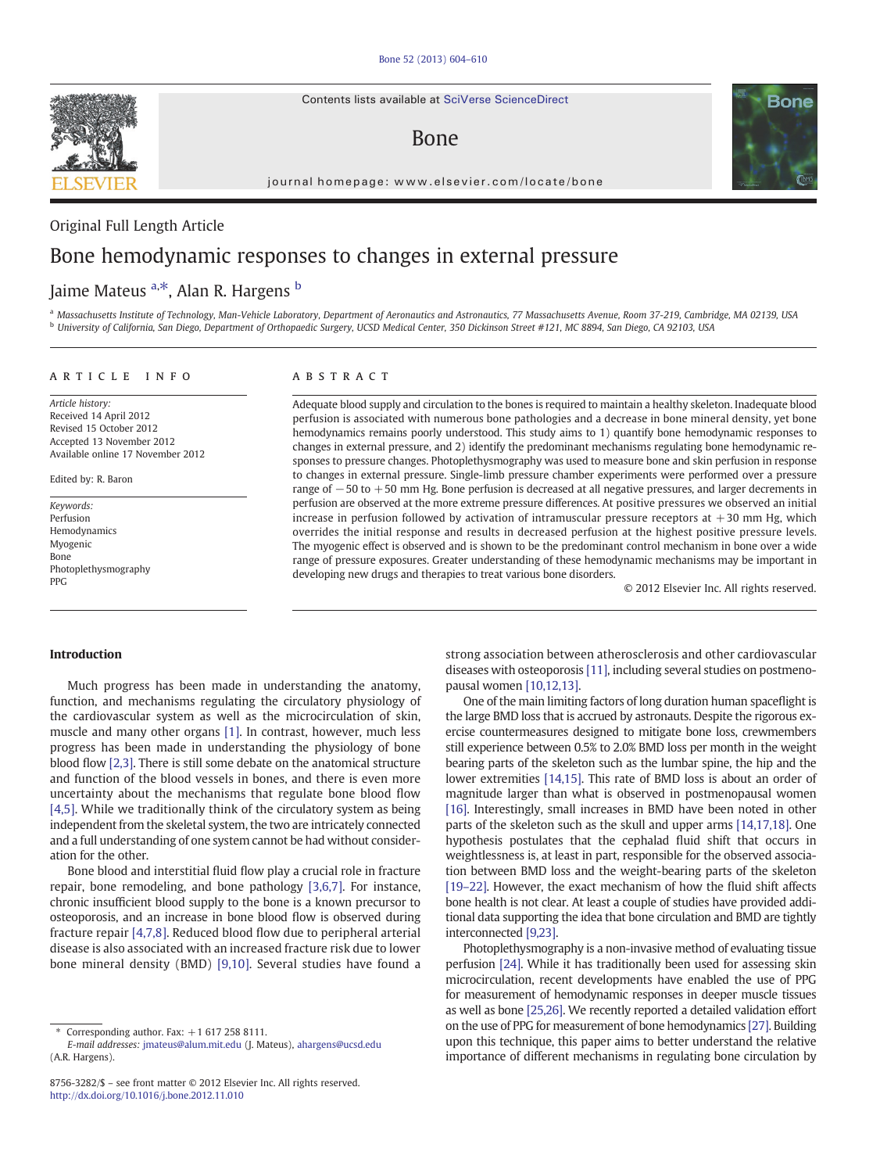Contents lists available at SciVerse ScienceDirect

# Bone

journal homepage: www.elsevier.com/locate/bone

## Original Full Length Article

# Bone hemodynamic responses to changes in external pressure

# Jaime Mateus <sup>a,\*</sup>, Alan R. Hargens <sup>b</sup>

a Massachusetts Institute of Technology, Man-Vehicle Laboratory, Department of Aeronautics and Astronautics, 77 Massachusetts Avenue, Room 37-219, Cambridge, MA 02139, USA <sup>b</sup> University of California, San Diego, Department of Orthopaedic Surgery, UCSD Medical Center, 350 Dickinson Street #121, MC 8894, San Diego, CA 92103, USA

#### article info abstract

Article history: Received 14 April 2012 Revised 15 October 2012 Accepted 13 November 2012 Available online 17 November 2012

Edited by: R. Baron

Keywords: Perfusion Hemodynamics Myogenic Bone Photoplethysmography PPG

Adequate blood supply and circulation to the bones is required to maintain a healthy skeleton. Inadequate blood perfusion is associated with numerous bone pathologies and a decrease in bone mineral density, yet bone hemodynamics remains poorly understood. This study aims to 1) quantify bone hemodynamic responses to changes in external pressure, and 2) identify the predominant mechanisms regulating bone hemodynamic responses to pressure changes. Photoplethysmography was used to measure bone and skin perfusion in response to changes in external pressure. Single-limb pressure chamber experiments were performed over a pressure range of −50 to +50 mm Hg. Bone perfusion is decreased at all negative pressures, and larger decrements in perfusion are observed at the more extreme pressure differences. At positive pressures we observed an initial increase in perfusion followed by activation of intramuscular pressure receptors at  $+30$  mm Hg, which overrides the initial response and results in decreased perfusion at the highest positive pressure levels. The myogenic effect is observed and is shown to be the predominant control mechanism in bone over a wide range of pressure exposures. Greater understanding of these hemodynamic mechanisms may be important in developing new drugs and therapies to treat various bone disorders.

© 2012 Elsevier Inc. All rights reserved.

### Introduction

Much progress has been made in understanding the anatomy, function, and mechanisms regulating the circulatory physiology of the cardiovascular system as well as the microcirculation of skin, muscle and many other organs [\[1\]](#page-5-0). In contrast, however, much less progress has been made in understanding the physiology of bone blood flow [\[2,3\]](#page-5-0). There is still some debate on the anatomical structure and function of the blood vessels in bones, and there is even more uncertainty about the mechanisms that regulate bone blood flow [\[4,5\].](#page-6-0) While we traditionally think of the circulatory system as being independent from the skeletal system, the two are intricately connected and a full understanding of one system cannot be had without consideration for the other.

Bone blood and interstitial fluid flow play a crucial role in fracture repair, bone remodeling, and bone pathology [\[3,6,7\].](#page-6-0) For instance, chronic insufficient blood supply to the bone is a known precursor to osteoporosis, and an increase in bone blood flow is observed during fracture repair [\[4,7,8\].](#page-6-0) Reduced blood flow due to peripheral arterial disease is also associated with an increased fracture risk due to lower bone mineral density (BMD) [\[9,10\].](#page-6-0) Several studies have found a

strong association between atherosclerosis and other cardiovascular diseases with osteoporosis [\[11\]](#page-6-0), including several studies on postmenopausal women [\[10,12,13\].](#page-6-0)

One of the main limiting factors of long duration human spaceflight is the large BMD loss that is accrued by astronauts. Despite the rigorous exercise countermeasures designed to mitigate bone loss, crewmembers still experience between 0.5% to 2.0% BMD loss per month in the weight bearing parts of the skeleton such as the lumbar spine, the hip and the lower extremities [\[14,15\].](#page-6-0) This rate of BMD loss is about an order of magnitude larger than what is observed in postmenopausal women [\[16\]](#page-6-0). Interestingly, small increases in BMD have been noted in other parts of the skeleton such as the skull and upper arms [\[14,17,18\]](#page-6-0). One hypothesis postulates that the cephalad fluid shift that occurs in weightlessness is, at least in part, responsible for the observed association between BMD loss and the weight-bearing parts of the skeleton [\[19](#page-6-0)–22]. However, the exact mechanism of how the fluid shift affects bone health is not clear. At least a couple of studies have provided additional data supporting the idea that bone circulation and BMD are tightly interconnected [\[9,23\]](#page-6-0).

Photoplethysmography is a non-invasive method of evaluating tissue perfusion [\[24\].](#page-6-0) While it has traditionally been used for assessing skin microcirculation, recent developments have enabled the use of PPG for measurement of hemodynamic responses in deeper muscle tissues as well as bone [\[25,26\].](#page-6-0) We recently reported a detailed validation effort on the use of PPG for measurement of bone hemodynamics [\[27\]](#page-6-0). Building upon this technique, this paper aims to better understand the relative importance of different mechanisms in regulating bone circulation by





Corresponding author. Fax:  $+1$  617 258 8111.

E-mail addresses: [jmateus@alum.mit.edu](mailto:jmateus@alum.mit.edu) (J. Mateus), [ahargens@ucsd.edu](mailto:ahargens@ucsd.edu) (A.R. Hargens).

<sup>8756-3282/\$</sup> – see front matter © 2012 Elsevier Inc. All rights reserved. <http://dx.doi.org/10.1016/j.bone.2012.11.010>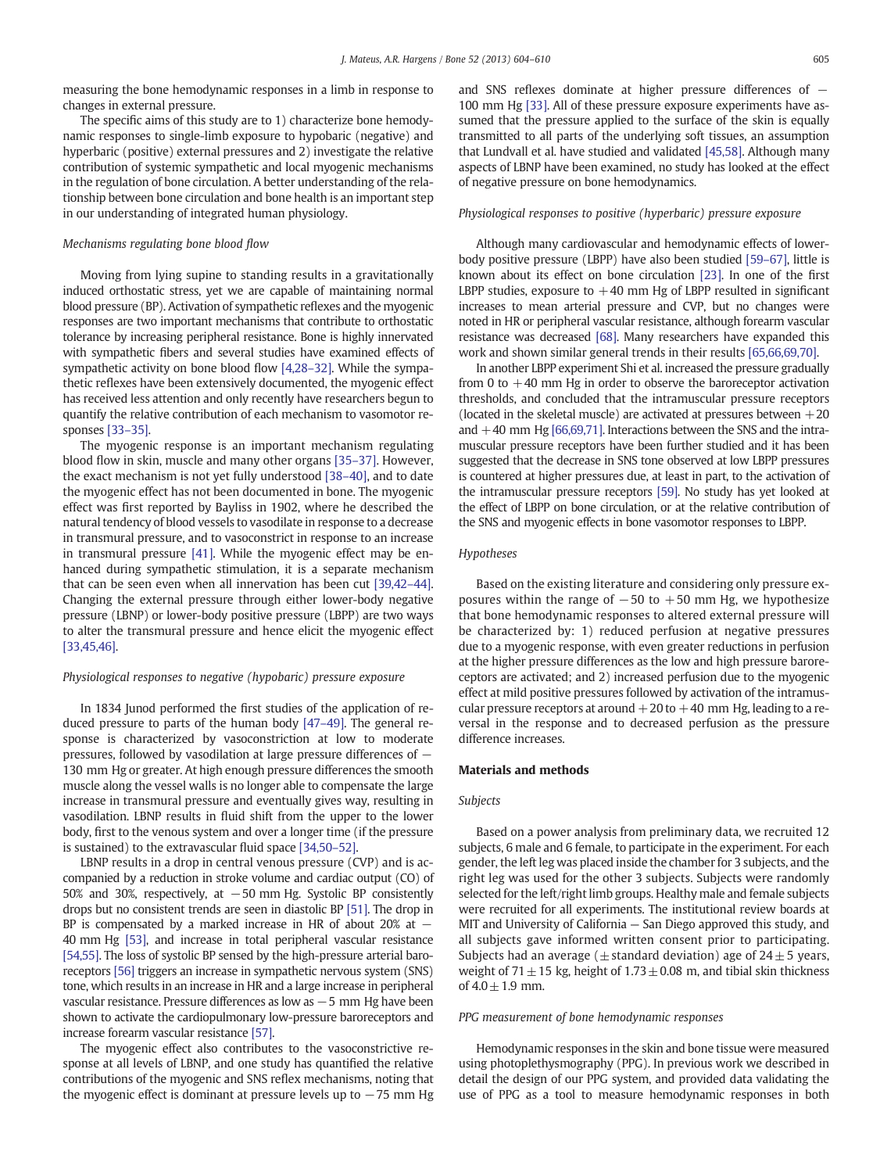measuring the bone hemodynamic responses in a limb in response to changes in external pressure.

The specific aims of this study are to 1) characterize bone hemodynamic responses to single-limb exposure to hypobaric (negative) and hyperbaric (positive) external pressures and 2) investigate the relative contribution of systemic sympathetic and local myogenic mechanisms in the regulation of bone circulation. A better understanding of the relationship between bone circulation and bone health is an important step in our understanding of integrated human physiology.

#### Mechanisms regulating bone blood flow

Moving from lying supine to standing results in a gravitationally induced orthostatic stress, yet we are capable of maintaining normal blood pressure (BP). Activation of sympathetic reflexes and the myogenic responses are two important mechanisms that contribute to orthostatic tolerance by increasing peripheral resistance. Bone is highly innervated with sympathetic fibers and several studies have examined effects of sympathetic activity on bone blood flow [\[4,28](#page-6-0)–32]. While the sympathetic reflexes have been extensively documented, the myogenic effect has received less attention and only recently have researchers begun to quantify the relative contribution of each mechanism to vasomotor responses [\[33](#page-6-0)–35].

The myogenic response is an important mechanism regulating blood flow in skin, muscle and many other organs [35–[37\].](#page-6-0) However, the exact mechanism is not yet fully understood [\[38](#page-6-0)–40], and to date the myogenic effect has not been documented in bone. The myogenic effect was first reported by Bayliss in 1902, where he described the natural tendency of blood vessels to vasodilate in response to a decrease in transmural pressure, and to vasoconstrict in response to an increase in transmural pressure [\[41\]](#page-6-0). While the myogenic effect may be enhanced during sympathetic stimulation, it is a separate mechanism that can be seen even when all innervation has been cut [\[39,42](#page-6-0)–44]. Changing the external pressure through either lower-body negative pressure (LBNP) or lower-body positive pressure (LBPP) are two ways to alter the transmural pressure and hence elicit the myogenic effect [\[33,45,46\]](#page-6-0).

#### Physiological responses to negative (hypobaric) pressure exposure

In 1834 Junod performed the first studies of the application of reduced pressure to parts of the human body [47–[49\].](#page-6-0) The general response is characterized by vasoconstriction at low to moderate pressures, followed by vasodilation at large pressure differences of − 130 mm Hg or greater. At high enough pressure differences the smooth muscle along the vessel walls is no longer able to compensate the large increase in transmural pressure and eventually gives way, resulting in vasodilation. LBNP results in fluid shift from the upper to the lower body, first to the venous system and over a longer time (if the pressure is sustained) to the extravascular fluid space [\[34,50](#page-6-0)–52].

LBNP results in a drop in central venous pressure (CVP) and is accompanied by a reduction in stroke volume and cardiac output (CO) of 50% and 30%, respectively, at −50 mm Hg. Systolic BP consistently drops but no consistent trends are seen in diastolic BP [\[51\].](#page-6-0) The drop in BP is compensated by a marked increase in HR of about 20% at  $-$ 40 mm Hg [\[53\],](#page-6-0) and increase in total peripheral vascular resistance [\[54,55\].](#page-6-0) The loss of systolic BP sensed by the high-pressure arterial baroreceptors [\[56\]](#page-6-0) triggers an increase in sympathetic nervous system (SNS) tone, which results in an increase in HR and a large increase in peripheral vascular resistance. Pressure differences as low as −5 mm Hg have been shown to activate the cardiopulmonary low-pressure baroreceptors and increase forearm vascular resistance [\[57\]](#page-6-0).

The myogenic effect also contributes to the vasoconstrictive response at all levels of LBNP, and one study has quantified the relative contributions of the myogenic and SNS reflex mechanisms, noting that the myogenic effect is dominant at pressure levels up to  $-75$  mm Hg and SNS reflexes dominate at higher pressure differences of − 100 mm Hg [\[33\]](#page-6-0). All of these pressure exposure experiments have assumed that the pressure applied to the surface of the skin is equally transmitted to all parts of the underlying soft tissues, an assumption that Lundvall et al. have studied and validated [\[45,58\]](#page-6-0). Although many aspects of LBNP have been examined, no study has looked at the effect of negative pressure on bone hemodynamics.

#### Physiological responses to positive (hyperbaric) pressure exposure

Although many cardiovascular and hemodynamic effects of lowerbody positive pressure (LBPP) have also been studied [59–[67\],](#page-6-0) little is known about its effect on bone circulation [\[23\]](#page-6-0). In one of the first LBPP studies, exposure to  $+40$  mm Hg of LBPP resulted in significant increases to mean arterial pressure and CVP, but no changes were noted in HR or peripheral vascular resistance, although forearm vascular resistance was decreased [\[68\]](#page-6-0). Many researchers have expanded this work and shown similar general trends in their results [\[65,66,69,70\].](#page-6-0)

In another LBPP experiment Shi et al. increased the pressure gradually from 0 to  $+40$  mm Hg in order to observe the baroreceptor activation thresholds, and concluded that the intramuscular pressure receptors (located in the skeletal muscle) are activated at pressures between  $+20$ and  $+40$  mm Hg [\[66,69,71\].](#page-6-0) Interactions between the SNS and the intramuscular pressure receptors have been further studied and it has been suggested that the decrease in SNS tone observed at low LBPP pressures is countered at higher pressures due, at least in part, to the activation of the intramuscular pressure receptors [\[59\].](#page-6-0) No study has yet looked at the effect of LBPP on bone circulation, or at the relative contribution of the SNS and myogenic effects in bone vasomotor responses to LBPP.

#### Hypotheses

Based on the existing literature and considering only pressure exposures within the range of  $-50$  to  $+50$  mm Hg, we hypothesize that bone hemodynamic responses to altered external pressure will be characterized by: 1) reduced perfusion at negative pressures due to a myogenic response, with even greater reductions in perfusion at the higher pressure differences as the low and high pressure baroreceptors are activated; and 2) increased perfusion due to the myogenic effect at mild positive pressures followed by activation of the intramuscular pressure receptors at around  $+20$  to  $+40$  mm Hg, leading to a reversal in the response and to decreased perfusion as the pressure difference increases.

#### Materials and methods

#### Subjects

Based on a power analysis from preliminary data, we recruited 12 subjects, 6 male and 6 female, to participate in the experiment. For each gender, the left leg was placed inside the chamber for 3 subjects, and the right leg was used for the other 3 subjects. Subjects were randomly selected for the left/right limb groups. Healthy male and female subjects were recruited for all experiments. The institutional review boards at MIT and University of California — San Diego approved this study, and all subjects gave informed written consent prior to participating. Subjects had an average ( $\pm$  standard deviation) age of 24 $\pm$ 5 years, weight of 71 $\pm$ 15 kg, height of 1.73 $\pm$ 0.08 m, and tibial skin thickness of  $4.0 \pm 1.9$  mm.

#### PPG measurement of bone hemodynamic responses

Hemodynamic responses in the skin and bone tissue were measured using photoplethysmography (PPG). In previous work we described in detail the design of our PPG system, and provided data validating the use of PPG as a tool to measure hemodynamic responses in both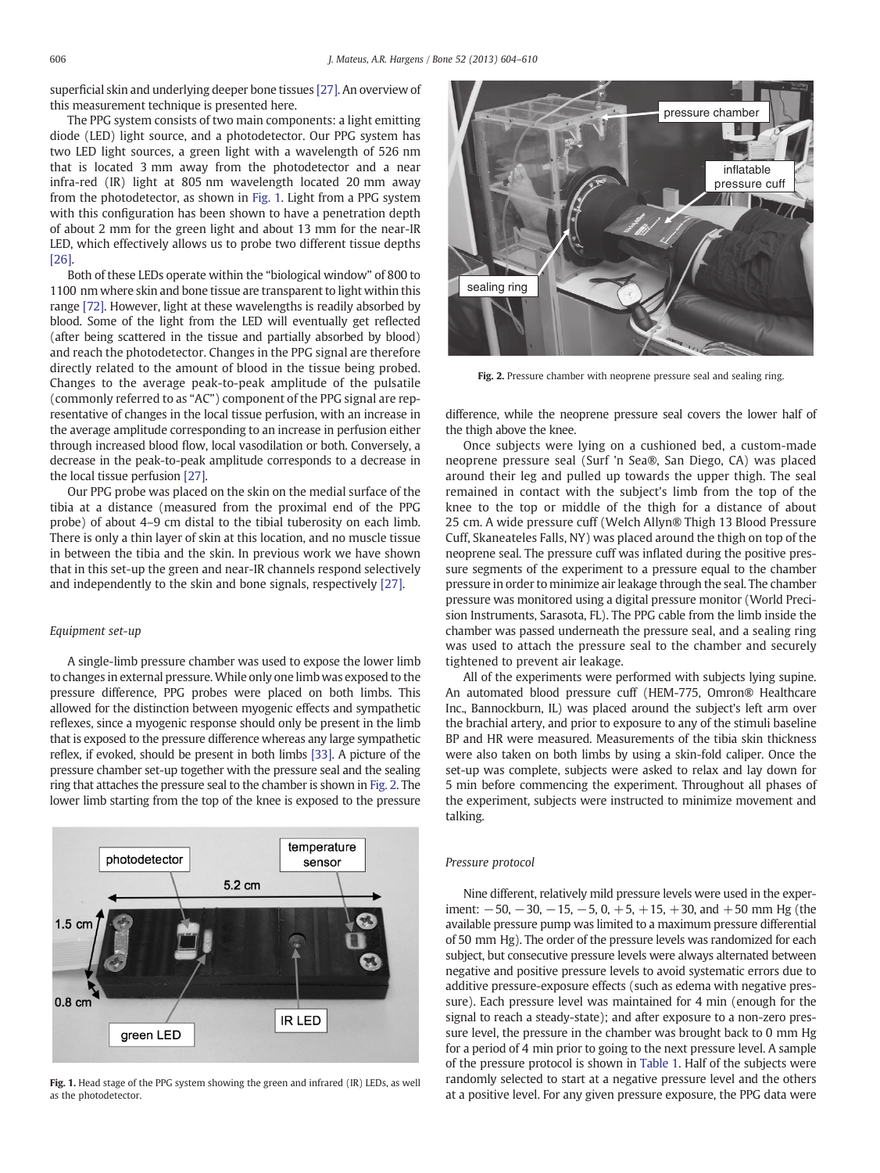superficial skin and underlying deeper bone tissues [\[27\].](#page-6-0) An overview of this measurement technique is presented here.

The PPG system consists of two main components: a light emitting diode (LED) light source, and a photodetector. Our PPG system has two LED light sources, a green light with a wavelength of 526 nm that is located 3 mm away from the photodetector and a near infra-red (IR) light at 805 nm wavelength located 20 mm away from the photodetector, as shown in Fig. 1. Light from a PPG system with this configuration has been shown to have a penetration depth of about 2 mm for the green light and about 13 mm for the near-IR LED, which effectively allows us to probe two different tissue depths [\[26\]](#page-6-0).

Both of these LEDs operate within the "biological window" of 800 to 1100 nm where skin and bone tissue are transparent to light within this range [\[72\]](#page-6-0). However, light at these wavelengths is readily absorbed by blood. Some of the light from the LED will eventually get reflected (after being scattered in the tissue and partially absorbed by blood) and reach the photodetector. Changes in the PPG signal are therefore directly related to the amount of blood in the tissue being probed. Changes to the average peak-to-peak amplitude of the pulsatile (commonly referred to as "AC") component of the PPG signal are representative of changes in the local tissue perfusion, with an increase in the average amplitude corresponding to an increase in perfusion either through increased blood flow, local vasodilation or both. Conversely, a decrease in the peak-to-peak amplitude corresponds to a decrease in the local tissue perfusion [\[27\].](#page-6-0)

Our PPG probe was placed on the skin on the medial surface of the tibia at a distance (measured from the proximal end of the PPG probe) of about 4–9 cm distal to the tibial tuberosity on each limb. There is only a thin layer of skin at this location, and no muscle tissue in between the tibia and the skin. In previous work we have shown that in this set-up the green and near-IR channels respond selectively and independently to the skin and bone signals, respectively [\[27\]](#page-6-0).

#### Equipment set-up

A single-limb pressure chamber was used to expose the lower limb to changes in external pressure. While only one limb was exposed to the pressure difference, PPG probes were placed on both limbs. This allowed for the distinction between myogenic effects and sympathetic reflexes, since a myogenic response should only be present in the limb that is exposed to the pressure difference whereas any large sympathetic reflex, if evoked, should be present in both limbs [\[33\].](#page-6-0) A picture of the pressure chamber set-up together with the pressure seal and the sealing ring that attaches the pressure seal to the chamber is shown in Fig. 2. The lower limb starting from the top of the knee is exposed to the pressure



Fig. 1. Head stage of the PPG system showing the green and infrared (IR) LEDs, as well as the photodetector.



Fig. 2. Pressure chamber with neoprene pressure seal and sealing ring.

difference, while the neoprene pressure seal covers the lower half of the thigh above the knee.

Once subjects were lying on a cushioned bed, a custom-made neoprene pressure seal (Surf 'n Sea®, San Diego, CA) was placed around their leg and pulled up towards the upper thigh. The seal remained in contact with the subject's limb from the top of the knee to the top or middle of the thigh for a distance of about 25 cm. A wide pressure cuff (Welch Allyn® Thigh 13 Blood Pressure Cuff, Skaneateles Falls, NY) was placed around the thigh on top of the neoprene seal. The pressure cuff was inflated during the positive pressure segments of the experiment to a pressure equal to the chamber pressure in order to minimize air leakage through the seal. The chamber pressure was monitored using a digital pressure monitor (World Precision Instruments, Sarasota, FL). The PPG cable from the limb inside the chamber was passed underneath the pressure seal, and a sealing ring was used to attach the pressure seal to the chamber and securely tightened to prevent air leakage.

All of the experiments were performed with subjects lying supine. An automated blood pressure cuff (HEM-775, Omron® Healthcare Inc., Bannockburn, IL) was placed around the subject's left arm over the brachial artery, and prior to exposure to any of the stimuli baseline BP and HR were measured. Measurements of the tibia skin thickness were also taken on both limbs by using a skin-fold caliper. Once the set-up was complete, subjects were asked to relax and lay down for 5 min before commencing the experiment. Throughout all phases of the experiment, subjects were instructed to minimize movement and talking.

#### Pressure protocol

Nine different, relatively mild pressure levels were used in the experiment:  $-50$ ,  $-30$ ,  $-15$ ,  $-5$ ,  $0$ ,  $+5$ ,  $+15$ ,  $+30$ , and  $+50$  mm Hg (the available pressure pump was limited to a maximum pressure differential of 50 mm Hg). The order of the pressure levels was randomized for each subject, but consecutive pressure levels were always alternated between negative and positive pressure levels to avoid systematic errors due to additive pressure-exposure effects (such as edema with negative pressure). Each pressure level was maintained for 4 min (enough for the signal to reach a steady-state); and after exposure to a non-zero pressure level, the pressure in the chamber was brought back to 0 mm Hg for a period of 4 min prior to going to the next pressure level. A sample of the pressure protocol is shown in [Table 1](#page-3-0). Half of the subjects were randomly selected to start at a negative pressure level and the others at a positive level. For any given pressure exposure, the PPG data were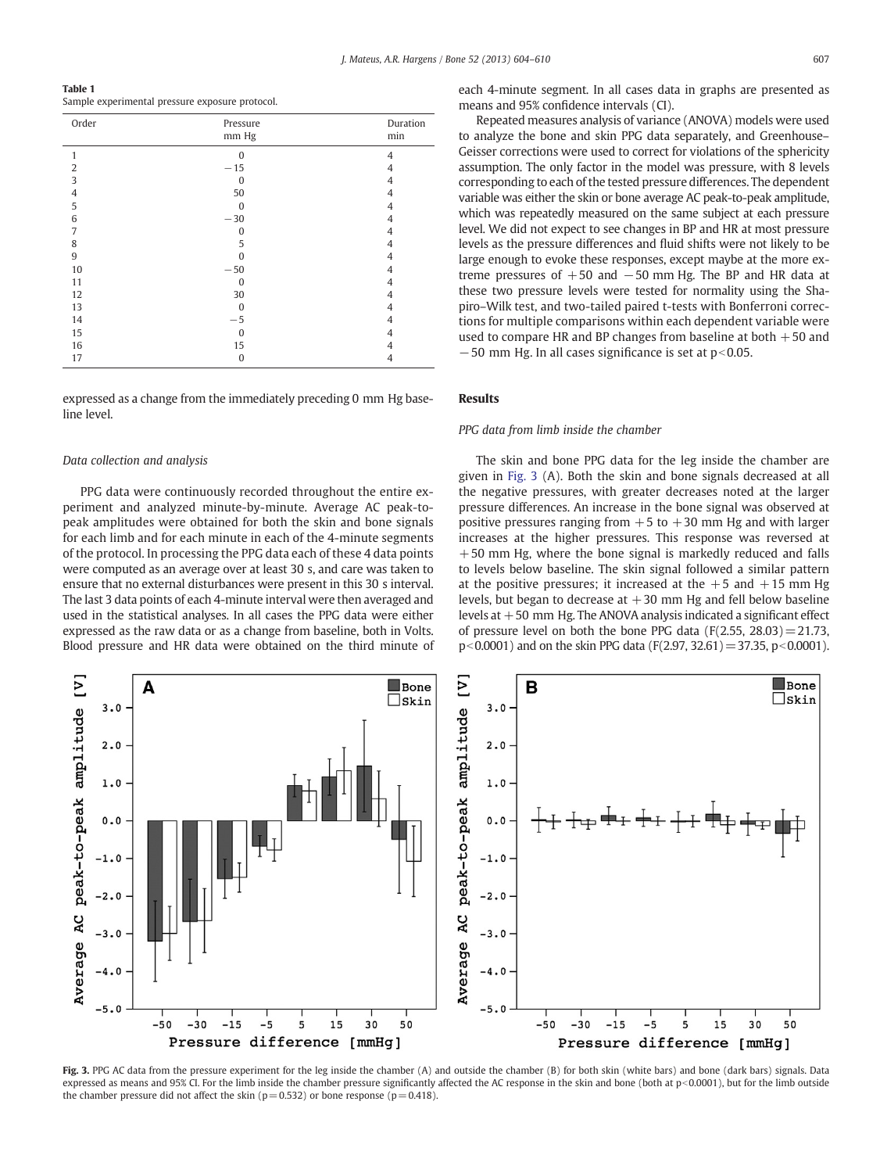<span id="page-3-0"></span>Table 1 Sample experimental pressure exposure protocol.

| Order          | Pressure<br>mm Hg | Duration<br>min |
|----------------|-------------------|-----------------|
| 1              | $\Omega$          | $\overline{4}$  |
| $\overline{2}$ | $-15$             | 4               |
| 3              | $\mathbf{0}$      | 4               |
| $\overline{4}$ | 50                | $\overline{4}$  |
| 5              | $\mathbf{0}$      | $\overline{4}$  |
| 6              | $-30$             | 4               |
| 7              | $\bf{0}$          | 4               |
| 8              | 5                 | $\overline{4}$  |
| 9              | $\Omega$          | 4               |
| 10             | $-50$             | 4               |
| 11             | $\bf{0}$          | 4               |
| 12             | 30                | 4               |
| 13             | $\Omega$          | 4               |
| 14             | $-5$              | $\overline{4}$  |
| 15             | $\bf{0}$          | 4               |
| 16             | 15                | 4               |
| 17             | $\bf{0}$          | $\overline{4}$  |

expressed as a change from the immediately preceding 0 mm Hg baseline level.

#### Data collection and analysis

PPG data were continuously recorded throughout the entire experiment and analyzed minute-by-minute. Average AC peak-topeak amplitudes were obtained for both the skin and bone signals for each limb and for each minute in each of the 4-minute segments of the protocol. In processing the PPG data each of these 4 data points were computed as an average over at least 30 s, and care was taken to ensure that no external disturbances were present in this 30 s interval. The last 3 data points of each 4-minute interval were then averaged and used in the statistical analyses. In all cases the PPG data were either expressed as the raw data or as a change from baseline, both in Volts. Blood pressure and HR data were obtained on the third minute of each 4-minute segment. In all cases data in graphs are presented as means and 95% confidence intervals (CI).

Repeated measures analysis of variance (ANOVA) models were used to analyze the bone and skin PPG data separately, and Greenhouse– Geisser corrections were used to correct for violations of the sphericity assumption. The only factor in the model was pressure, with 8 levels corresponding to each of the tested pressure differences. The dependent variable was either the skin or bone average AC peak-to-peak amplitude, which was repeatedly measured on the same subject at each pressure level. We did not expect to see changes in BP and HR at most pressure levels as the pressure differences and fluid shifts were not likely to be large enough to evoke these responses, except maybe at the more extreme pressures of  $+50$  and  $-50$  mm Hg. The BP and HR data at these two pressure levels were tested for normality using the Shapiro–Wilk test, and two-tailed paired t-tests with Bonferroni corrections for multiple comparisons within each dependent variable were used to compare HR and BP changes from baseline at both  $+50$  and  $-50$  mm Hg. In all cases significance is set at  $p<0.05$ .

#### Results

#### PPG data from limb inside the chamber

The skin and bone PPG data for the leg inside the chamber are given in Fig. 3 (A). Both the skin and bone signals decreased at all the negative pressures, with greater decreases noted at the larger pressure differences. An increase in the bone signal was observed at positive pressures ranging from  $+5$  to  $+30$  mm Hg and with larger increases at the higher pressures. This response was reversed at  $+50$  mm Hg, where the bone signal is markedly reduced and falls to levels below baseline. The skin signal followed a similar pattern at the positive pressures; it increased at the  $+5$  and  $+15$  mm Hg levels, but began to decrease at  $+30$  mm Hg and fell below baseline levels at  $+50$  mm Hg. The ANOVA analysis indicated a significant effect of pressure level on both the bone PPG data  $(F(2.55, 28.03)=21.73,$  $p<0.0001$ ) and on the skin PPG data (F(2.97, 32.61) = 37.35, p $<0.0001$ ).



Fig. 3. PPG AC data from the pressure experiment for the leg inside the chamber (A) and outside the chamber (B) for both skin (white bars) and bone (dark bars) signals. Data expressed as means and 95% CI. For the limb inside the chamber pressure significantly affected the AC response in the skin and bone (both at p<0.0001), but for the limb outside the chamber pressure did not affect the skin ( $p=0.532$ ) or bone response ( $p=0.418$ ).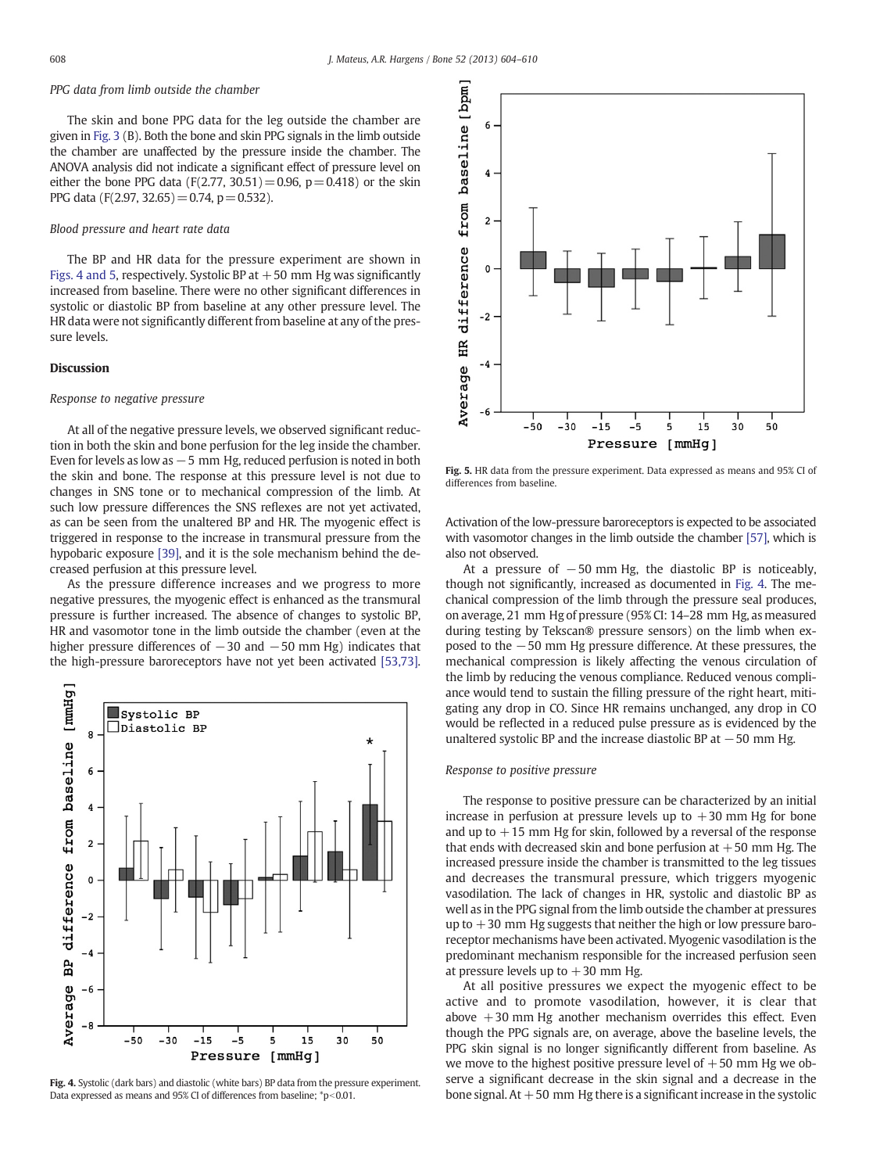## PPG data from limb outside the chamber

The skin and bone PPG data for the leg outside the chamber are given in [Fig. 3](#page-3-0) (B). Both the bone and skin PPG signals in the limb outside the chamber are unaffected by the pressure inside the chamber. The ANOVA analysis did not indicate a significant effect of pressure level on either the bone PPG data (F(2.77, 30.51) = 0.96,  $p = 0.418$ ) or the skin PPG data (F(2.97, 32.65) = 0.74, p = 0.532).

### Blood pressure and heart rate data

The BP and HR data for the pressure experiment are shown in Figs. 4 and 5, respectively. Systolic BP at  $+50$  mm Hg was significantly increased from baseline. There were no other significant differences in systolic or diastolic BP from baseline at any other pressure level. The HR data were not significantly different from baseline at any of the pressure levels.

#### **Discussion**

#### Response to negative pressure

At all of the negative pressure levels, we observed significant reduction in both the skin and bone perfusion for the leg inside the chamber. Even for levels as low as  $-5$  mm Hg, reduced perfusion is noted in both the skin and bone. The response at this pressure level is not due to changes in SNS tone or to mechanical compression of the limb. At such low pressure differences the SNS reflexes are not yet activated, as can be seen from the unaltered BP and HR. The myogenic effect is triggered in response to the increase in transmural pressure from the hypobaric exposure [\[39\]](#page-6-0), and it is the sole mechanism behind the decreased perfusion at this pressure level.

As the pressure difference increases and we progress to more negative pressures, the myogenic effect is enhanced as the transmural pressure is further increased. The absence of changes to systolic BP, HR and vasomotor tone in the limb outside the chamber (even at the higher pressure differences of −30 and −50 mm Hg) indicates that the high-pressure baroreceptors have not yet been activated [\[53,73\].](#page-6-0)



Fig. 4. Systolic (dark bars) and diastolic (white bars) BP data from the pressure experiment. Data expressed as means and 95% CI of differences from baseline;  $\degree$ p<0.01.



Fig. 5. HR data from the pressure experiment. Data expressed as means and 95% CI of differences from baseline.

Activation of the low-pressure baroreceptors is expected to be associated with vasomotor changes in the limb outside the chamber [\[57\]](#page-6-0), which is also not observed.

At a pressure of  $-50$  mm Hg, the diastolic BP is noticeably, though not significantly, increased as documented in Fig. 4. The mechanical compression of the limb through the pressure seal produces, on average, 21 mm Hg of pressure (95% CI: 14–28 mm Hg, as measured during testing by Tekscan® pressure sensors) on the limb when exposed to the −50 mm Hg pressure difference. At these pressures, the mechanical compression is likely affecting the venous circulation of the limb by reducing the venous compliance. Reduced venous compliance would tend to sustain the filling pressure of the right heart, mitigating any drop in CO. Since HR remains unchanged, any drop in CO would be reflected in a reduced pulse pressure as is evidenced by the unaltered systolic BP and the increase diastolic BP at  $-50$  mm Hg.

### Response to positive pressure

The response to positive pressure can be characterized by an initial increase in perfusion at pressure levels up to  $+30$  mm Hg for bone and up to  $+15$  mm Hg for skin, followed by a reversal of the response that ends with decreased skin and bone perfusion at  $+50$  mm Hg. The increased pressure inside the chamber is transmitted to the leg tissues and decreases the transmural pressure, which triggers myogenic vasodilation. The lack of changes in HR, systolic and diastolic BP as well as in the PPG signal from the limb outside the chamber at pressures up to  $+30$  mm Hg suggests that neither the high or low pressure baroreceptor mechanisms have been activated. Myogenic vasodilation is the predominant mechanism responsible for the increased perfusion seen at pressure levels up to  $+30$  mm Hg.

At all positive pressures we expect the myogenic effect to be active and to promote vasodilation, however, it is clear that above  $+30$  mm Hg another mechanism overrides this effect. Even though the PPG signals are, on average, above the baseline levels, the PPG skin signal is no longer significantly different from baseline. As we move to the highest positive pressure level of  $+50$  mm Hg we observe a significant decrease in the skin signal and a decrease in the bone signal. At  $+50$  mm Hg there is a significant increase in the systolic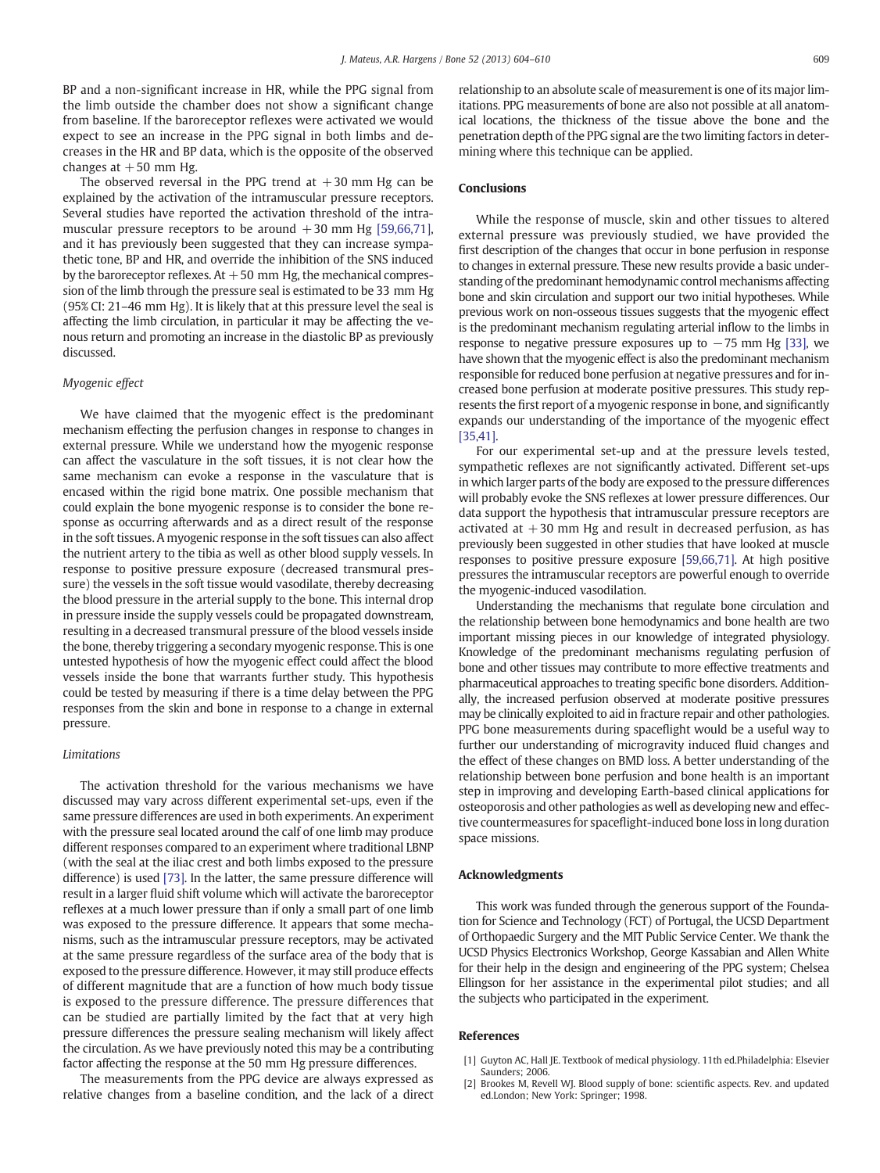<span id="page-5-0"></span>BP and a non-significant increase in HR, while the PPG signal from the limb outside the chamber does not show a significant change from baseline. If the baroreceptor reflexes were activated we would expect to see an increase in the PPG signal in both limbs and decreases in the HR and BP data, which is the opposite of the observed changes at  $+50$  mm Hg.

The observed reversal in the PPG trend at  $+30$  mm Hg can be explained by the activation of the intramuscular pressure receptors. Several studies have reported the activation threshold of the intramuscular pressure receptors to be around  $+30$  mm Hg [\[59,66,71\],](#page-6-0) and it has previously been suggested that they can increase sympathetic tone, BP and HR, and override the inhibition of the SNS induced by the baroreceptor reflexes. At  $+50$  mm Hg, the mechanical compression of the limb through the pressure seal is estimated to be 33 mm Hg (95% CI: 21–46 mm Hg). It is likely that at this pressure level the seal is affecting the limb circulation, in particular it may be affecting the venous return and promoting an increase in the diastolic BP as previously discussed.

#### Myogenic effect

We have claimed that the myogenic effect is the predominant mechanism effecting the perfusion changes in response to changes in external pressure. While we understand how the myogenic response can affect the vasculature in the soft tissues, it is not clear how the same mechanism can evoke a response in the vasculature that is encased within the rigid bone matrix. One possible mechanism that could explain the bone myogenic response is to consider the bone response as occurring afterwards and as a direct result of the response in the soft tissues. A myogenic response in the soft tissues can also affect the nutrient artery to the tibia as well as other blood supply vessels. In response to positive pressure exposure (decreased transmural pressure) the vessels in the soft tissue would vasodilate, thereby decreasing the blood pressure in the arterial supply to the bone. This internal drop in pressure inside the supply vessels could be propagated downstream, resulting in a decreased transmural pressure of the blood vessels inside the bone, thereby triggering a secondary myogenic response. This is one untested hypothesis of how the myogenic effect could affect the blood vessels inside the bone that warrants further study. This hypothesis could be tested by measuring if there is a time delay between the PPG responses from the skin and bone in response to a change in external pressure.

### Limitations

The activation threshold for the various mechanisms we have discussed may vary across different experimental set-ups, even if the same pressure differences are used in both experiments. An experiment with the pressure seal located around the calf of one limb may produce different responses compared to an experiment where traditional LBNP (with the seal at the iliac crest and both limbs exposed to the pressure difference) is used [\[73\].](#page-6-0) In the latter, the same pressure difference will result in a larger fluid shift volume which will activate the baroreceptor reflexes at a much lower pressure than if only a small part of one limb was exposed to the pressure difference. It appears that some mechanisms, such as the intramuscular pressure receptors, may be activated at the same pressure regardless of the surface area of the body that is exposed to the pressure difference. However, it may still produce effects of different magnitude that are a function of how much body tissue is exposed to the pressure difference. The pressure differences that can be studied are partially limited by the fact that at very high pressure differences the pressure sealing mechanism will likely affect the circulation. As we have previously noted this may be a contributing factor affecting the response at the 50 mm Hg pressure differences.

The measurements from the PPG device are always expressed as relative changes from a baseline condition, and the lack of a direct relationship to an absolute scale of measurement is one of its major limitations. PPG measurements of bone are also not possible at all anatomical locations, the thickness of the tissue above the bone and the penetration depth of the PPG signal are the two limiting factors in determining where this technique can be applied.

#### Conclusions

While the response of muscle, skin and other tissues to altered external pressure was previously studied, we have provided the first description of the changes that occur in bone perfusion in response to changes in external pressure. These new results provide a basic understanding of the predominant hemodynamic control mechanisms affecting bone and skin circulation and support our two initial hypotheses. While previous work on non-osseous tissues suggests that the myogenic effect is the predominant mechanism regulating arterial inflow to the limbs in response to negative pressure exposures up to  $-75$  mm Hg [\[33\],](#page-6-0) we have shown that the myogenic effect is also the predominant mechanism responsible for reduced bone perfusion at negative pressures and for increased bone perfusion at moderate positive pressures. This study represents the first report of a myogenic response in bone, and significantly expands our understanding of the importance of the myogenic effect [\[35,41\].](#page-6-0)

For our experimental set-up and at the pressure levels tested, sympathetic reflexes are not significantly activated. Different set-ups in which larger parts of the body are exposed to the pressure differences will probably evoke the SNS reflexes at lower pressure differences. Our data support the hypothesis that intramuscular pressure receptors are activated at  $+30$  mm Hg and result in decreased perfusion, as has previously been suggested in other studies that have looked at muscle responses to positive pressure exposure [\[59,66,71\]](#page-6-0). At high positive pressures the intramuscular receptors are powerful enough to override the myogenic-induced vasodilation.

Understanding the mechanisms that regulate bone circulation and the relationship between bone hemodynamics and bone health are two important missing pieces in our knowledge of integrated physiology. Knowledge of the predominant mechanisms regulating perfusion of bone and other tissues may contribute to more effective treatments and pharmaceutical approaches to treating specific bone disorders. Additionally, the increased perfusion observed at moderate positive pressures may be clinically exploited to aid in fracture repair and other pathologies. PPG bone measurements during spaceflight would be a useful way to further our understanding of microgravity induced fluid changes and the effect of these changes on BMD loss. A better understanding of the relationship between bone perfusion and bone health is an important step in improving and developing Earth-based clinical applications for osteoporosis and other pathologies as well as developing new and effective countermeasures for spaceflight-induced bone loss in long duration space missions.

#### Acknowledgments

This work was funded through the generous support of the Foundation for Science and Technology (FCT) of Portugal, the UCSD Department of Orthopaedic Surgery and the MIT Public Service Center. We thank the UCSD Physics Electronics Workshop, George Kassabian and Allen White for their help in the design and engineering of the PPG system; Chelsea Ellingson for her assistance in the experimental pilot studies; and all the subjects who participated in the experiment.

#### References

- [1] Guyton AC, Hall JE. Textbook of medical physiology. 11th ed.Philadelphia: Elsevier Saunders; 2006.
- [2] Brookes M, Revell WJ. Blood supply of bone: scientific aspects. Rev. and updated ed.London; New York: Springer; 1998.